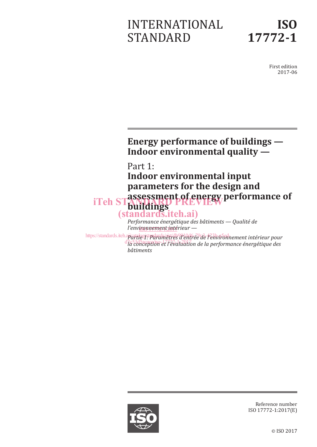# INTERNATIONAL STANDARD



First edition 2017-06

## **Energy performance of buildings — Indoor environmental quality —**

Part 1:

**Indoor environmental input parameters for the design and assessment of energy performance of buildings** iTeh STANDARD PREVIEWP (standards.iteh.ai)

### *Performance énergétique des bâtiments — Qualité de l'env<u>ironnement int</u>érieur —*

https://standards.iteh.apcatalog/stapdards/sist/db9910d6-793de l'environnement intérieur pour d<sub>7c53d5</sub>acacaca de la performance énergétique des *bâtiments*



Reference number ISO 17772-1:2017(E)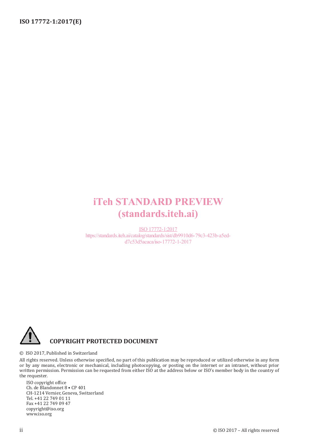## iTeh STANDARD PREVIEW (standards.iteh.ai)

ISO 17772-1:2017 https://standards.iteh.ai/catalog/standards/sist/db9910d6-79c3-423b-a5edd7c53d5acaca/iso-17772-1-2017



#### © ISO 2017, Published in Switzerland

All rights reserved. Unless otherwise specified, no part of this publication may be reproduced or utilized otherwise in any form or by any means, electronic or mechanical, including photocopying, or posting on the internet or an intranet, without prior written permission. Permission can be requested from either ISO at the address below or ISO's member body in the country of the requester.

ISO copyright office Ch. de Blandonnet 8 • CP 401 CH-1214 Vernier, Geneva, Switzerland Tel. +41 22 749 01 11 Fax +41 22 749 09 47 copyright@iso.org www.iso.org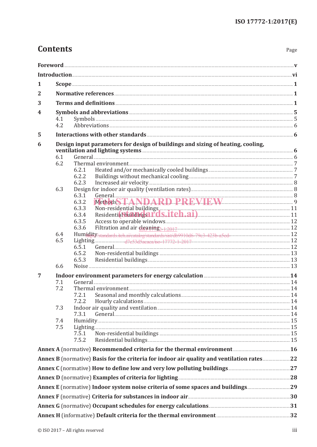## **Contents**

| 1              |                                                                                 |                                                                                                                                                                                                                                      |  |  |  |  |  |  |  |  |  |
|----------------|---------------------------------------------------------------------------------|--------------------------------------------------------------------------------------------------------------------------------------------------------------------------------------------------------------------------------------|--|--|--|--|--|--|--|--|--|
| $\overline{2}$ |                                                                                 |                                                                                                                                                                                                                                      |  |  |  |  |  |  |  |  |  |
| 3              |                                                                                 |                                                                                                                                                                                                                                      |  |  |  |  |  |  |  |  |  |
| 4              | Symbols and abbreviations <b>Example 2018</b> 5                                 |                                                                                                                                                                                                                                      |  |  |  |  |  |  |  |  |  |
|                | 4.1                                                                             |                                                                                                                                                                                                                                      |  |  |  |  |  |  |  |  |  |
|                | 4.2                                                                             |                                                                                                                                                                                                                                      |  |  |  |  |  |  |  |  |  |
| 5              |                                                                                 | Interactions with other standards <b>Executive Contract of the Standards</b> 6                                                                                                                                                       |  |  |  |  |  |  |  |  |  |
| 6              | Design input parameters for design of buildings and sizing of heating, cooling, |                                                                                                                                                                                                                                      |  |  |  |  |  |  |  |  |  |
|                |                                                                                 |                                                                                                                                                                                                                                      |  |  |  |  |  |  |  |  |  |
|                | 6.1<br>6.2                                                                      |                                                                                                                                                                                                                                      |  |  |  |  |  |  |  |  |  |
|                |                                                                                 | 6.2.1                                                                                                                                                                                                                                |  |  |  |  |  |  |  |  |  |
|                |                                                                                 | 6.2.2                                                                                                                                                                                                                                |  |  |  |  |  |  |  |  |  |
|                |                                                                                 | 6.2.3                                                                                                                                                                                                                                |  |  |  |  |  |  |  |  |  |
|                | 6.3                                                                             |                                                                                                                                                                                                                                      |  |  |  |  |  |  |  |  |  |
|                |                                                                                 | 6.3.1                                                                                                                                                                                                                                |  |  |  |  |  |  |  |  |  |
|                |                                                                                 | General 8<br>Methods STANDARD PREMIEW<br>6.3.2                                                                                                                                                                                       |  |  |  |  |  |  |  |  |  |
|                |                                                                                 | 6.3.3                                                                                                                                                                                                                                |  |  |  |  |  |  |  |  |  |
|                |                                                                                 | Non-residential buildings<br>Residential buildings<br>11<br>6.3.4                                                                                                                                                                    |  |  |  |  |  |  |  |  |  |
|                |                                                                                 | 6.3.5                                                                                                                                                                                                                                |  |  |  |  |  |  |  |  |  |
|                |                                                                                 | 6.3.6                                                                                                                                                                                                                                |  |  |  |  |  |  |  |  |  |
|                | 6.4                                                                             |                                                                                                                                                                                                                                      |  |  |  |  |  |  |  |  |  |
|                | 6.5                                                                             |                                                                                                                                                                                                                                      |  |  |  |  |  |  |  |  |  |
|                |                                                                                 | 6.5.1                                                                                                                                                                                                                                |  |  |  |  |  |  |  |  |  |
|                |                                                                                 | 6.5.2                                                                                                                                                                                                                                |  |  |  |  |  |  |  |  |  |
|                |                                                                                 | 6.5.3                                                                                                                                                                                                                                |  |  |  |  |  |  |  |  |  |
|                | 6.6                                                                             |                                                                                                                                                                                                                                      |  |  |  |  |  |  |  |  |  |
| 7              |                                                                                 |                                                                                                                                                                                                                                      |  |  |  |  |  |  |  |  |  |
|                | 7.1                                                                             |                                                                                                                                                                                                                                      |  |  |  |  |  |  |  |  |  |
|                | 7.2                                                                             |                                                                                                                                                                                                                                      |  |  |  |  |  |  |  |  |  |
|                |                                                                                 | 7.2.1                                                                                                                                                                                                                                |  |  |  |  |  |  |  |  |  |
|                |                                                                                 |                                                                                                                                                                                                                                      |  |  |  |  |  |  |  |  |  |
|                | 7.3                                                                             |                                                                                                                                                                                                                                      |  |  |  |  |  |  |  |  |  |
|                | 7.4                                                                             | 7.3.1                                                                                                                                                                                                                                |  |  |  |  |  |  |  |  |  |
|                | 7.5                                                                             |                                                                                                                                                                                                                                      |  |  |  |  |  |  |  |  |  |
|                |                                                                                 | 7.5.1                                                                                                                                                                                                                                |  |  |  |  |  |  |  |  |  |
|                |                                                                                 | 7.5.2                                                                                                                                                                                                                                |  |  |  |  |  |  |  |  |  |
|                |                                                                                 |                                                                                                                                                                                                                                      |  |  |  |  |  |  |  |  |  |
|                |                                                                                 |                                                                                                                                                                                                                                      |  |  |  |  |  |  |  |  |  |
|                |                                                                                 |                                                                                                                                                                                                                                      |  |  |  |  |  |  |  |  |  |
|                |                                                                                 | Annex D (normative) Examples of criteria for lighting The Committee of the 28                                                                                                                                                        |  |  |  |  |  |  |  |  |  |
|                |                                                                                 |                                                                                                                                                                                                                                      |  |  |  |  |  |  |  |  |  |
|                |                                                                                 |                                                                                                                                                                                                                                      |  |  |  |  |  |  |  |  |  |
|                |                                                                                 | Annex F (normative) Criteria for substances in indoor air material contents and 30                                                                                                                                                   |  |  |  |  |  |  |  |  |  |
|                |                                                                                 |                                                                                                                                                                                                                                      |  |  |  |  |  |  |  |  |  |
|                |                                                                                 | Annex H (informative) Default criteria for the thermal environment <b>Energy and Strategie and Strategie and Strategie and Strategie and Strategie and Strategie and Strategie and Strategie and Strategie and Strategie and Str</b> |  |  |  |  |  |  |  |  |  |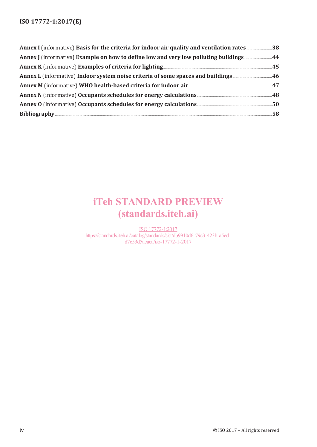| Annex K (informative) Examples of criteria for lighting 1990 1990 1991 1991 1992 1993 1994 1996 1991 1992 199 |  |
|---------------------------------------------------------------------------------------------------------------|--|
|                                                                                                               |  |
| Annex M (informative) WHO health-based criteria for indoor air <u>manumenon manument</u> 47                   |  |
| Annex N (informative) Occupants schedules for energy calculations <b>Example 20</b> 48                        |  |
|                                                                                                               |  |
| Bibliography 38                                                                                               |  |

## iTeh STANDARD PREVIEW (standards.iteh.ai)

ISO 17772-1:2017 https://standards.iteh.ai/catalog/standards/sist/db9910d6-79c3-423b-a5edd7c53d5acaca/iso-17772-1-2017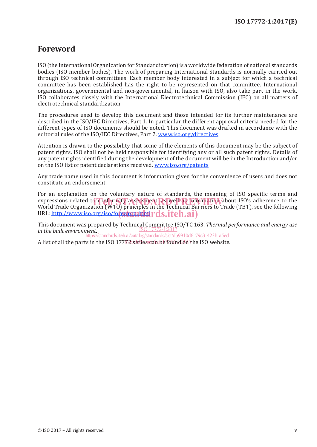## **Foreword**

ISO (the International Organization for Standardization) is a worldwide federation of national standards bodies (ISO member bodies). The work of preparing International Standards is normally carried out through ISO technical committees. Each member body interested in a subject for which a technical committee has been established has the right to be represented on that committee. International organizations, governmental and non-governmental, in liaison with ISO, also take part in the work. ISO collaborates closely with the International Electrotechnical Commission (IEC) on all matters of electrotechnical standardization.

The procedures used to develop this document and those intended for its further maintenance are described in the ISO/IEC Directives, Part 1. In particular the different approval criteria needed for the different types of ISO documents should be noted. This document was drafted in accordance with the editorial rules of the ISO/IEC Directives, Part 2. www.iso.org/directives

Attention is drawn to the possibility that some of the elements of this document may be the subject of patent rights. ISO shall not be held responsible for identifying any or all such patent rights. Details of any patent rights identified during the development of the document will be in the Introduction and/or on the ISO list of patent declarations received. www.iso.org/patents

Any trade name used in this document is information given for the convenience of users and does not constitute an endorsement.

For an explanation on the voluntary nature of standards, the meaning of ISO specific terms and expressions related to conformity assessment, as well as information about ISO's adherence to the experience of the following and the Technical Barriers to Trade (TBT), see the following World Trade Organization (WTO) principles in the Technical Barriers to Trade (TBT), see the following URL: http://www.iso.org/iso/foreword.html rds.iteh.ai)

This document was prepared by Technical Committee ISO/TC 163, *Thermal performance and energy use in the built environment*. ISO 17772-1:2017 https://standards.iteh.ai/catalog/standards/sist/db9910d6-79c3-423b-a5ed-

A list of all the parts in the ISO 17772 series can be found on the ISO website.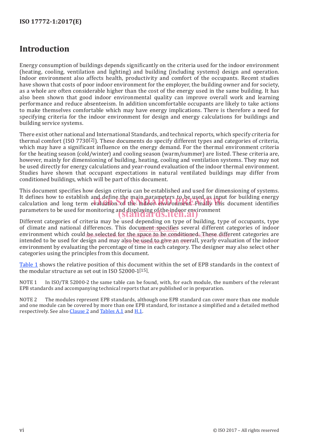## **Introduction**

Energy consumption of buildings depends significantly on the criteria used for the indoor environment (heating, cooling, ventilation and lighting) and building (including systems) design and operation. Indoor environment also affects health, productivity and comfort of the occupants. Recent studies have shown that costs of poor indoor environment for the employer, the building owner and for society, as a whole are often considerable higher than the cost of the energy used in the same building. It has also been shown that good indoor environmental quality can improve overall work and learning performance and reduce absenteeism. In addition uncomfortable occupants are likely to take actions to make themselves comfortable which may have energy implications. There is therefore a need for specifying criteria for the indoor environment for design and energy calculations for buildings and building service systems.

There exist other national and International Standards, and technical reports, which specify criteria for thermal comfort (ISO 7730[2]). These documents do specify different types and categories of criteria, which may have a significant influence on the energy demand. For the thermal environment criteria for the heating season (cold/winter) and cooling season (warm/summer) are listed. These criteria are, however, mainly for dimensioning of building, heating, cooling and ventilation systems. They may not be used directly for energy calculations and year-round evaluation of the indoor thermal environment. Studies have shown that occupant expectations in natural ventilated buildings may differ from conditioned buildings, which will be part of this document.

This document specifies how design criteria can be established and used for dimensioning of systems. It defines how to establish and define the main parameters to be used as input for building energy It derines now to establish and derine the main parameters to be used as input for building energy<br>calculation and long term evaluation of the indoor environment. Finally this document identifies parameters to be used for monitoring and displaying of the indoor environment<br>Standards.iten.ai)

Different categories of criteria may be used depending on type of building, type of occupants, type of climate and national differences. This document specifies several different categories of indoor environment which could he sselected for the apace to be conditioned, these different categories are intended to be used for design and may also be used to give an overall, yearly evaluation of the indoor environment by evaluating the percentage of time in each category. The designer may also select other categories using the principles from this document.

Table 1 shows the relative position of this document within the set of EPB standards in the context of the modular structure as set out in ISO 52000-1[15].

NOTE 1 In ISO/TR 52000-2 the same table can be found, with, for each module, the numbers of the relevant EPB standards and accompanying technical reports that are published or in preparation.

NOTE 2 The modules represent EPB standards, although one EPB standard can cover more than one module and one module can be covered by more than one EPB standard, for instance a simplified and a detailed method respectively. See also Clause 2 and Tables A.1 and H.1.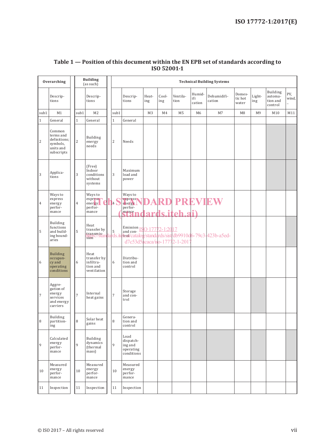| Overarching    |                                                                            | <b>Building</b><br>(as such) |                                                             | <b>Technical Building Systems</b> |                                                            |                |              |                                |                         |                                                                                        |                            |                |                                                   |                  |
|----------------|----------------------------------------------------------------------------|------------------------------|-------------------------------------------------------------|-----------------------------------|------------------------------------------------------------|----------------|--------------|--------------------------------|-------------------------|----------------------------------------------------------------------------------------|----------------------------|----------------|---------------------------------------------------|------------------|
|                | Descrip-<br>tions                                                          |                              | Descrip-<br>tions                                           |                                   | Descrip-<br>tions                                          | Heat-<br>ing   | Cool-<br>ing | Ventila-<br>tion               | Humid-<br>ifi<br>cation | Dehumidifi-<br>cation                                                                  | Domes-<br>tic hot<br>water | Light-<br>ing  | <b>Building</b><br>automa-<br>tion and<br>control | PV,<br>wind,<br> |
| sub1           | M1                                                                         | sub1                         | M <sub>2</sub>                                              | sub1                              |                                                            | M <sub>3</sub> | M4           | M <sub>5</sub>                 | M <sub>6</sub>          | M7                                                                                     | M <sub>8</sub>             | M <sub>9</sub> | M10                                               | M11              |
| $\mathbf{1}$   | General                                                                    | $\,1\,$                      | General                                                     | $1\,$                             | General                                                    |                |              |                                |                         |                                                                                        |                            |                |                                                   |                  |
| $\sqrt{2}$     | Common<br>terms and<br>definitions;<br>symbols,<br>units and<br>subscripts | $\overline{c}$               | Building<br>energy<br>needs                                 | $\overline{c}$                    | Needs                                                      |                |              |                                |                         |                                                                                        |                            |                |                                                   |                  |
| 3              | Applica-<br>tions                                                          | 3                            | (Free)<br>Indoor<br>conditions<br>without<br>systems        | 3                                 | Maximum<br>load and<br>power                               |                |              |                                |                         |                                                                                        |                            |                |                                                   |                  |
| $\overline{4}$ | Ways to<br>express<br>energy<br>perfor-<br>mance                           | $\overline{4}$               | Ways to<br>express<br>energy<br>perfor-<br>mance            | $ch4$ S                           | Ways to<br>express<br>energy<br>perfor-<br>mance,          | 9 <sub>K</sub> |              | <b>RD PREVIEW</b><br>ls.iteh.a |                         |                                                                                        |                            |                |                                                   |                  |
| 5              | Building<br>functions<br>and build-<br>ing bound-<br>aries                 | 5                            | Heat<br>transfer by                                         | 5                                 | Emission ISO 17772-1:2017<br>d7c53d5acaca/iso-17772-1-2017 |                |              |                                |                         | transmis-<br>https://standards.itehnol/catalog/standards/sist/db9910d6-79c3-423b-a5ed- |                            |                |                                                   |                  |
| 6              | <b>Building</b><br>occupan-<br>cy and<br>operating<br>conditions           | 6                            | Heat<br>transfer by<br>infiltra-<br>tion and<br>ventilation | 6                                 | Distribu-<br>tion and<br>control                           |                |              |                                |                         |                                                                                        |                            |                |                                                   |                  |
| $\overline{7}$ | Aggre-<br>gation of<br>energy<br>services<br>and energy<br>carriers        | 7                            | Internal<br>heat gains                                      | $\overline{7}$                    | Storage<br>and con-<br>trol                                |                |              |                                |                         |                                                                                        |                            |                |                                                   |                  |
| 8              | Building<br>partition-<br>ing                                              | 8                            | Solar heat<br>gains                                         | 8                                 | Genera-<br>tion and<br>control                             |                |              |                                |                         |                                                                                        |                            |                |                                                   |                  |
| 9              | Calculated<br>energy<br>perfor-<br>mance                                   | 9                            | Building<br>dynamics<br>(thermal<br>mass)                   | 9                                 | Load<br>dispatch-<br>ing and<br>operating<br>conditions    |                |              |                                |                         |                                                                                        |                            |                |                                                   |                  |
| 10             | Measured<br>energy<br>perfor-<br>mance                                     | 10                           | Measured<br>energy<br>perfor-<br>mance                      | 10                                | Measured<br>energy<br>perfor-<br>mance                     |                |              |                                |                         |                                                                                        |                            |                |                                                   |                  |
| 11             | Inspection                                                                 | 11                           | Inspection                                                  | 11                                | Inspection                                                 |                |              |                                |                         |                                                                                        |                            |                |                                                   |                  |

#### **Table 1 — Position of this document within the EN EPB set of standards according to ISO 52001-1**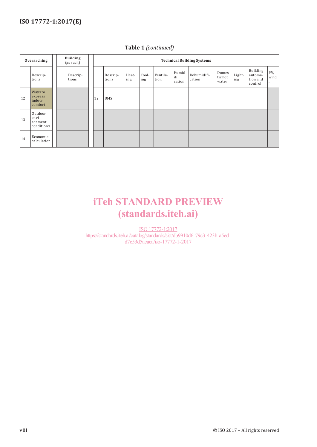| Overarching |                                           | <b>Building</b><br>(as such) |  | <b>Technical Building Systems</b> |    |                   |              |              |                  |                         |                       |                            |               |                                            |                  |
|-------------|-------------------------------------------|------------------------------|--|-----------------------------------|----|-------------------|--------------|--------------|------------------|-------------------------|-----------------------|----------------------------|---------------|--------------------------------------------|------------------|
|             | Descrip-<br>tions                         |                              |  | Descrip-<br>tions                 |    | Descrip-<br>tions | Heat-<br>ing | Cool-<br>ing | Ventila-<br>tion | Humid-<br>ifi<br>cation | Dehumidifi-<br>cation | Domes-<br>tic hot<br>water | Light-<br>ing | Building<br>automa-<br>tion and<br>control | PV,<br>wind,<br> |
| 12          | Ways to<br>express<br>indoor<br>comfort   |                              |  |                                   | 12 | <b>BMS</b>        |              |              |                  |                         |                       |                            |               |                                            |                  |
| 13          | Outdoor<br>envi-<br>ronment<br>conditions |                              |  |                                   |    |                   |              |              |                  |                         |                       |                            |               |                                            |                  |
| 14          | Economic<br>calculation                   |                              |  |                                   |    |                   |              |              |                  |                         |                       |                            |               |                                            |                  |

**Table 1** *(continued)*

## iTeh STANDARD PREVIEW (standards.iteh.ai)

ISO 17772-1:2017 https://standards.iteh.ai/catalog/standards/sist/db9910d6-79c3-423b-a5ed-

d7c53d5acaca/iso-17772-1-2017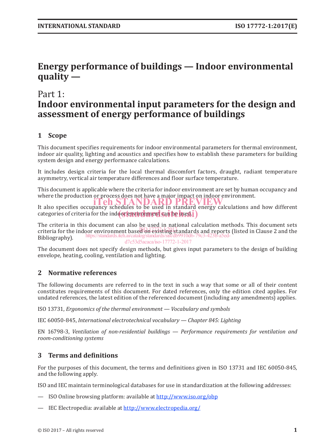## **Energy performance of buildings — Indoor environmental quality —**

### Part 1:

## **Indoor environmental input parameters for the design and assessment of energy performance of buildings**

### **1 Scope**

This document specifies requirements for indoor environmental parameters for thermal environment, indoor air quality, lighting and acoustics and specifies how to establish these parameters for building system design and energy performance calculations.

It includes design criteria for the local thermal discomfort factors, draught, radiant temperature asymmetry, vertical air temperature differences and floor surface temperature.

This document is applicable where the criteria for indoor environment are set by human occupancy and where the production or process does not have a major impact on indoor environment.

It also specifies occupancy schedules to be used in standard energy calculations and how different it. categories of criteria for the indoor environment san be used.

The criteria in this document can also be used in national calculation methods. This document sets criteria for the indoor environment based on existing standards and reports (listed in Clause 2 and the criteria for the indoor environment based on existing standards and  $\frac{1}{2}$ . Bibliography). https://standards.iteh.ai/catalog/standards/sist/db9910d6-79c3-423b-a5edd7c53d5acaca/iso-17772-1-2017

The document does not specify design methods, but gives input parameters to the design of building envelope, heating, cooling, ventilation and lighting.

### **2 Normative references**

The following documents are referred to in the text in such a way that some or all of their content constitutes requirements of this document. For dated references, only the edition cited applies. For undated references, the latest edition of the referenced document (including any amendments) applies.

ISO 13731, *Ergonomics of the thermal environment — Vocabulary and symbols*

IEC 60050-845, *International electrotechnical vocabulary — Chapter 845: Lighting*

EN 16798-3, *Ventilation of non-residential buildings — Performance requirements for ventilation and room-conditioning systems*

### **3 Terms and definitions**

For the purposes of this document, the terms and definitions given in ISO 13731 and IEC 60050-845, and the following apply.

ISO and IEC maintain terminological databases for use in standardization at the following addresses:

- ISO Online browsing platform: available at http://www.iso.org/obp
- IEC Electropedia: available at http://www.electropedia.org/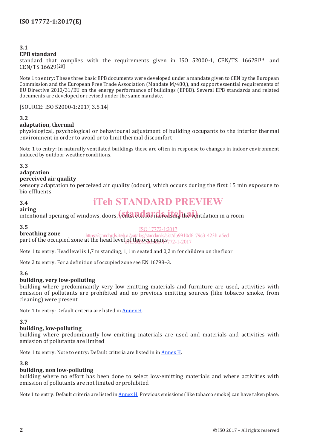#### **3.1 EPB standard**

standard that complies with the requirements given in ISO 52000-1, CEN/TS 16628[19] and CEN/TS 16629[20]

Note 1 to entry: These three basic EPB documents were developed under a mandate given to CEN by the European Commission and the European Free Trade Association (Mandate M/480,), and support essential requirements of EU Directive 2010/31/EU on the energy performance of buildings (EPBD). Several EPB standards and related documents are developed or revised under the same mandate.

[SOURCE: ISO 52000-1:2017, 3.5.14]

#### **3.2**

#### **adaptation, thermal**

physiological, psychological or behavioural adjustment of building occupants to the interior thermal environment in order to avoid or to limit thermal discomfort

Note 1 to entry: In naturally ventilated buildings these are often in response to changes in indoor environment induced by outdoor weather conditions.

#### **3.3**

#### **adaptation**

#### **perceived air quality**

sensory adaptation to perceived air quality (odour), which occurs during the first 15 min exposure to bio effluents

#### **3.4**

## iTeh STANDARD PREVIEW

#### **airing** airing<br>intentional opening of windows, doors, vents, etc. for increasing the ventilation in a room

#### **3.5**

**breathing zone** part of the occupied zone at the head level of the occupants  $_{772$ -1-2017 ISO 17772-1:2017 https://standards.iteh.ai/catalog/standards/sist/db9910d6-79c3-423b-a5ed-

Note 1 to entry: Head level is 1,7 m standing, 1,1 m seated and 0,2 m for children on the floor

Note 2 to entry: For a definition of occupied zone see EN 16798–3.

#### **3.6**

#### **building, very low-polluting**

building where predominantly very low-emitting materials and furniture are used, activities with emission of pollutants are prohibited and no previous emitting sources (like tobacco smoke, from cleaning) were present

Note 1 to entry: Default criteria are listed in Annex H.

#### **3.7**

#### **building, low-polluting**

building where predominantly low emitting materials are used and materials and activities with emission of pollutants are limited

Note 1 to entry: Note to entry: Default criteria are listed in in Annex H.

#### **3.8**

#### **building, non low-polluting**

building where no effort has been done to select low-emitting materials and where activities with emission of pollutants are not limited or prohibited

Note 1 to entry: Default criteria are listed in **Annex H**. Previous emissions (like tobacco smoke) can have taken place.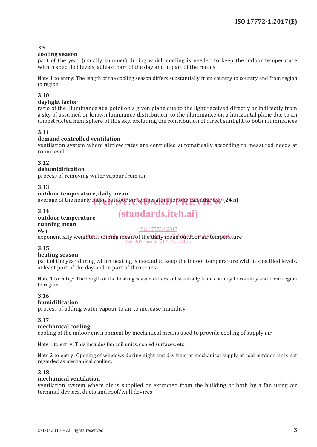#### **3.9**

#### **cooling season**

part of the year (usually summer) during which cooling is needed to keep the indoor temperature within specified levels, at least part of the day and in part of the rooms

Note 1 to entry: The length of the cooling season differs substantially from country to country and from region to region.

#### **3.10**

#### **daylight factor**

ratio of the illuminance at a point on a given plane due to the light received directly or indirectly from a sky of assumed or known luminance distribution, to the illuminance on a horizontal plane due to an unobstructed hemisphere of this sky, excluding the contribution of direct sunlight to both illuminances

#### **3.11**

#### **demand controlled ventilation**

ventilation system where airflow rates are controlled automatically according to measured needs at room level

#### **3.12**

#### **dehumidification**

process of removing water vapour from air

#### **3.13**

#### **outdoor temperature, daily mean**

average of the hourly mean outdoor air temperature for one calendar day (24 h)

#### **3.14**

#### **outdoor temperature running mean** *Θ***ed**

(standards.iteh.ai)

#### ISO 17772-1:2017

exponentially weighted running the annot the daily meah outdoor air temperature d7c53d5acaca/iso-17772-1-2017

#### **3.15**

#### **heating season**

part of the year during which heating is needed to keep the indoor temperature within specified levels, at least part of the day and in part of the rooms

Note 1 to entry: The length of the heating season differs substantially from country to country and from region to region.

### **3.16**

#### **humidification**

process of adding water vapour to air to increase humidity

#### **3.17**

#### **mechanical cooling**

cooling of the indoor environment by mechanical means used to provide cooling of supply air

Note 1 to entry: This includes fan coil units, cooled surfaces, etc.

Note 2 to entry: Opening of windows during night and day time or mechanical supply of cold outdoor air is not regarded as mechanical cooling.

#### **3.18**

#### **mechanical ventilation**

ventilation system where air is supplied or extracted from the building or both by a fan using air terminal devices, ducts and roof/wall devices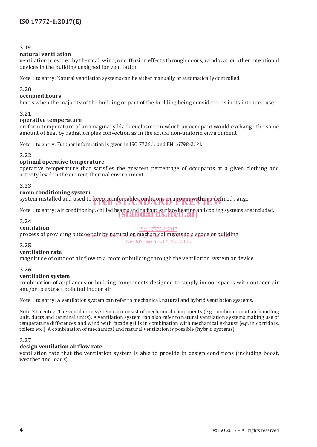#### **3.19**

#### **natural ventilation**

ventilation provided by thermal, wind, or diffusion effects through doors, windows, or other intentional devices in the building designed for ventilation

Note 1 to entry: Natural ventilation systems can be either manually or automatically controlled.

#### **3.20**

#### **occupied hours**

hours when the majority of the building or part of the building being considered is in its intended use

#### **3.21**

#### **operative temperature**

uniform temperature of an imaginary black enclosure in which an occupant would exchange the same amount of heat by radiation plus convection as in the actual non-uniform environment

Note 1 to entry: Further information is given in ISO 7726[1] and EN 16798-2[13].

#### **3.22**

#### **optimal operative temperature**

operative temperature that satisfies the greatest percentage of occupants at a given clothing and activity level in the current thermal environment

#### **3.23**

#### **room conditioning system**

system installed and used to keep comfortable conditions in a room within a defined range

Note 1 to entry: Air conditioning, chilled beams and radiant, surface heating and cooling systems are included.<br>Candard Caroline (Standard S.Iteh.ai)

#### **3.24**

#### **ventilation**

ISO 17772-1:2017

d7c53d5acaca/iso-17772-1-2017

process of providing outdoor air by natural or mechanical means to a space or building

#### **3.25**

#### **ventilation rate**

magnitude of outdoor air flow to a room or building through the ventilation system or device

#### **3.26**

#### **ventilation system**

combination of appliances or building components designed to supply indoor spaces with outdoor air and/or to extract polluted indoor air

Note 1 to entry: A ventilation system can refer to mechanical, natural and hybrid ventilation systems.

Note 2 to entry: The ventilation system can consist of mechanical components (e.g. combination of air handling unit, ducts and terminal units). A ventilation system can also refer to natural ventilation systems making use of temperature differences and wind with facade grills in combination with mechanical exhaust (e.g. in corridors, toilets etc.). A combination of mechanical and natural ventilation is possible (hybrid systems).

#### **3.27**

#### **design ventilation airflow rate**

ventilation rate that the ventilation system is able to provide in design conditions (including boost, weather and loads)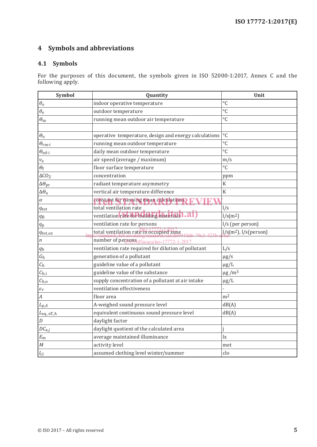### **4 Symbols and abbreviations**

### **4.1 Symbols**

For the purposes of this document, the symbols given in ISO 52000-1:2017, Annex C and the following apply.

| Symbol                     | Quantity                                              | Unit                      |  |  |  |
|----------------------------|-------------------------------------------------------|---------------------------|--|--|--|
| $\theta_o$                 | indoor operative temperature                          | $\rm ^{\circ}C$           |  |  |  |
| $\theta_e$                 | outdoor temperature                                   | $\rm ^{\circ}C$           |  |  |  |
| $\theta_{\rm m}$           | running mean outdoor air temperature                  | $\rm ^{\circ}C$           |  |  |  |
|                            |                                                       |                           |  |  |  |
| $\theta_{\rm 0}$           | operative temperature, design and energy calculations | $\rm ^{\circ}C$           |  |  |  |
| $\theta_{\rm rm\text{-}i}$ | running mean outdoor temperature                      | $\rm ^{\circ}C$           |  |  |  |
| $\theta_{\text{ed-i}}$     | daily mean outdoor temperature                        | $\rm ^{\circ}C$           |  |  |  |
| $v_{\rm a}$                | air speed (average / maximum)                         | m/s                       |  |  |  |
| $\Theta_{\rm f}$           | floor surface temperature                             | $\rm ^{\circ}C$           |  |  |  |
| $\Delta CO_2$              | concentration                                         | ppm                       |  |  |  |
| $\Delta\Theta_{\text{pr}}$ | radiant temperature asymmetry                         | $\rm K$                   |  |  |  |
| $\Delta\Theta_{\rm a}$     | vertical air temperature difference                   | $\rm K$                   |  |  |  |
| $\alpha$                   | constant for running mean calculations.               |                           |  |  |  |
| $q_{\rm tot}$              | total ventilation rate                                | 1/s                       |  |  |  |
| $q_{\rm B}$                | ventilation rate for building materials 1. 21         | l/s(m <sup>2</sup> )      |  |  |  |
| $q_{\rm p}$                | ventilation rate for persons                          | l/s (per person)          |  |  |  |
| $q_{\text{tot,oz}}$        | total ventilation rate in occupied zone               | $1/s(m2)$ , $1/s(person)$ |  |  |  |
| $\sqrt{n}$                 | number of personsd5acaca/iso-17772-1-2017             |                           |  |  |  |
| $q_{\rm h}$                | ventilation rate required for dilution of pollutant   | L/s                       |  |  |  |
| G <sub>h</sub>             | generation of a pollutant                             | $\mu$ g/s                 |  |  |  |
| C <sub>h</sub>             | guideline value of a pollutant                        | $\mu$ g/L                 |  |  |  |
| $C_{h,i}$                  | guideline value of the substance                      | $\mu$ g /m <sup>3</sup>   |  |  |  |
| $C_{h,o}$                  | supply concentration of a pollutant at air intake     | $\mu$ g/L                 |  |  |  |
| $\mathcal{E}_{\rm V}$      | ventilation effectiveness                             |                           |  |  |  |
| $\boldsymbol{A}$           | floor area                                            | m <sup>2</sup>            |  |  |  |
| $L_{p,A}$                  | A-weighed sound pressure level                        | dB(A)                     |  |  |  |
| $L_{\text{eq, nT,A}}$      | equivalent continuous sound pressure level            | dB(A)                     |  |  |  |
| D                          | daylight factor                                       |                           |  |  |  |
| $DC_{a,j}$                 | daylight quotient of the calculated area              |                           |  |  |  |
| $E_{\rm m}$                | average maintained illuminance                        | $l_{X}$                   |  |  |  |
| $\cal M$                   | activity level                                        | met                       |  |  |  |
| $l_{\rm cl}$               | assumed clothing level winter/summer                  | clo                       |  |  |  |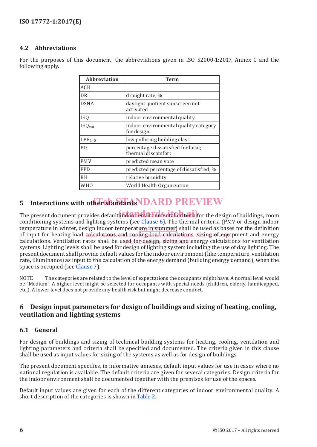#### **4.2 Abbreviations**

For the purposes of this document, the abbreviations given in ISO 52000-1:2017, Annex C and the following apply.

| <b>Abbreviation</b> | Term                                                     |
|---------------------|----------------------------------------------------------|
| <b>ACH</b>          |                                                          |
| DR                  | draught rate, %                                          |
| <b>DSNA</b>         | daylight quotient sunscreen not<br>activated             |
| IEQ                 | indoor environmental quality                             |
| IEQ <sub>cat</sub>  | indoor environmental quality category<br>for design      |
| $LPB1-3$            | low polluting building class                             |
| <b>PD</b>           | percentage dissatisfied for local;<br>thermal discomfort |
| <b>PMV</b>          | predicted mean vote                                      |
| <b>PPD</b>          | predicted percentage of dissatisfied, %                  |
| <b>RH</b>           | relative humidity                                        |
| WH0                 | World Health Organization                                |

## 5 Interactions with other standards **IDARD PREVIEW**

The present document provides default <mark>indoor environmental criteria</mark> for the design of buildings, room conditioning systems and lighting systems (see Clause 6). The thermal criteria (PMV or design indoor temperature in winter, design indoor temperature in summer) shall be used as bases for the definition of input for heating load <u>calculations and cooling load calculations, sizing of equ</u>ipment and energy calculations. Ventilation rates shall be used for design, sizing and energy calculations for ventilation systems. Lighting levels shall be used for design of lighting system including the use of day lighting. The present document shall provide default values for the indoor environment (like temperature, ventilation rate, illuminance) as input to the calculation of the energy demand (building energy demand), when the space is occupied (see Clause 7).

NOTE The categories are related to the level of expectations the occupants might have. A normal level would be "Medium". A higher level might be selected for occupants with special needs (children, elderly, handicapped, etc.). A lower level does not provide any health risk but might decrease comfort.

#### **6 Design input parameters for design of buildings and sizing of heating, cooling, ventilation and lighting systems**

#### **6.1 General**

For design of buildings and sizing of technical building systems for heating, cooling, ventilation and lighting parameters and criteria shall be specified and documented. The criteria given in this clause shall be used as input values for sizing of the systems as well as for design of buildings.

The present document specifies, in informative annexes, default input values for use in cases where no national regulation is available. The default criteria are given for several categories. Design criteria for the indoor environment shall be documented together with the premises for use of the spaces.

Default input values are given for each of the different categories of indoor environmental quality. A short description of the categories is shown in Table 2.